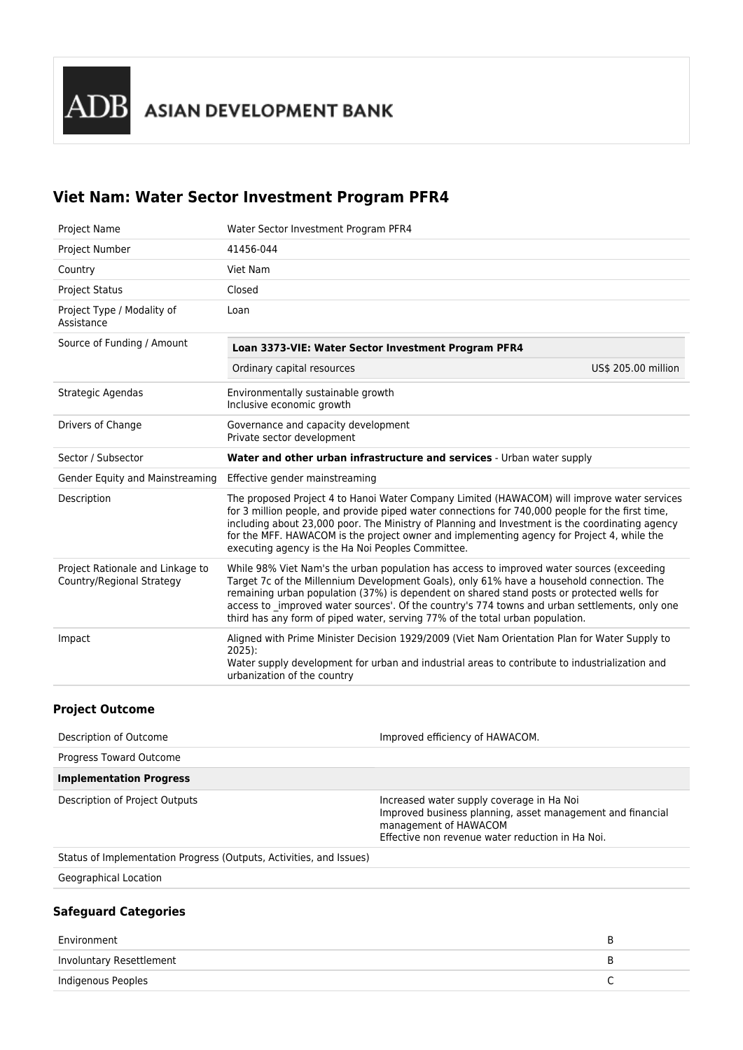# **Viet Nam: Water Sector Investment Program PFR4**

| <b>Project Name</b>                                           | Water Sector Investment Program PFR4                                                                                                                                                                                                                                                                                                                                                                                                                                   |  |  |
|---------------------------------------------------------------|------------------------------------------------------------------------------------------------------------------------------------------------------------------------------------------------------------------------------------------------------------------------------------------------------------------------------------------------------------------------------------------------------------------------------------------------------------------------|--|--|
| Project Number                                                | 41456-044                                                                                                                                                                                                                                                                                                                                                                                                                                                              |  |  |
| Country                                                       | Viet Nam                                                                                                                                                                                                                                                                                                                                                                                                                                                               |  |  |
| <b>Project Status</b>                                         | Closed                                                                                                                                                                                                                                                                                                                                                                                                                                                                 |  |  |
| Project Type / Modality of<br>Assistance                      | Loan                                                                                                                                                                                                                                                                                                                                                                                                                                                                   |  |  |
| Source of Funding / Amount                                    | Loan 3373-VIE: Water Sector Investment Program PFR4                                                                                                                                                                                                                                                                                                                                                                                                                    |  |  |
|                                                               | Ordinary capital resources<br>US\$ 205.00 million                                                                                                                                                                                                                                                                                                                                                                                                                      |  |  |
| Strategic Agendas                                             | Environmentally sustainable growth<br>Inclusive economic growth                                                                                                                                                                                                                                                                                                                                                                                                        |  |  |
| Drivers of Change                                             | Governance and capacity development<br>Private sector development                                                                                                                                                                                                                                                                                                                                                                                                      |  |  |
|                                                               |                                                                                                                                                                                                                                                                                                                                                                                                                                                                        |  |  |
| Sector / Subsector                                            | Water and other urban infrastructure and services - Urban water supply                                                                                                                                                                                                                                                                                                                                                                                                 |  |  |
| Gender Equity and Mainstreaming                               | Effective gender mainstreaming                                                                                                                                                                                                                                                                                                                                                                                                                                         |  |  |
| Description                                                   | The proposed Project 4 to Hanoi Water Company Limited (HAWACOM) will improve water services<br>for 3 million people, and provide piped water connections for 740,000 people for the first time,<br>including about 23,000 poor. The Ministry of Planning and Investment is the coordinating agency<br>for the MFF. HAWACOM is the project owner and implementing agency for Project 4, while the<br>executing agency is the Ha Noi Peoples Committee.                  |  |  |
| Project Rationale and Linkage to<br>Country/Regional Strategy | While 98% Viet Nam's the urban population has access to improved water sources (exceeding<br>Target 7c of the Millennium Development Goals), only 61% have a household connection. The<br>remaining urban population (37%) is dependent on shared stand posts or protected wells for<br>access to improved water sources'. Of the country's 774 towns and urban settlements, only one<br>third has any form of piped water, serving 77% of the total urban population. |  |  |

## **Project Outcome**

| Description of Outcome                                              | Improved efficiency of HAWACOM.                                                                                                                                                      |
|---------------------------------------------------------------------|--------------------------------------------------------------------------------------------------------------------------------------------------------------------------------------|
| Progress Toward Outcome                                             |                                                                                                                                                                                      |
| <b>Implementation Progress</b>                                      |                                                                                                                                                                                      |
| Description of Project Outputs                                      | Increased water supply coverage in Ha Noi<br>Improved business planning, asset management and financial<br>management of HAWACOM<br>Effective non revenue water reduction in Ha Noi. |
| Status of Implementation Progress (Outputs, Activities, and Issues) |                                                                                                                                                                                      |
| Geographical Location                                               |                                                                                                                                                                                      |
| <b>Safeguard Categories</b>                                         |                                                                                                                                                                                      |

| Environment              |  |
|--------------------------|--|
| Involuntary Resettlement |  |
| Indigenous Peoples       |  |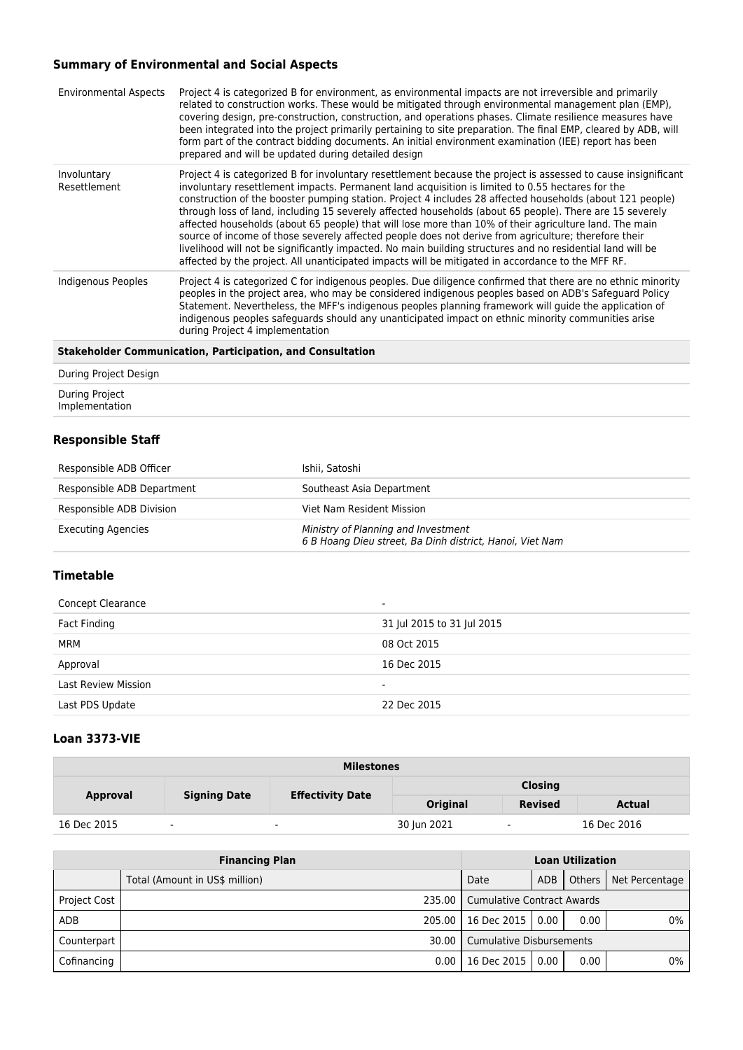# **Summary of Environmental and Social Aspects**

| <b>Environmental Aspects</b> | Project 4 is categorized B for environment, as environmental impacts are not irreversible and primarily<br>related to construction works. These would be mitigated through environmental management plan (EMP),<br>covering design, pre-construction, construction, and operations phases. Climate resilience measures have<br>been integrated into the project primarily pertaining to site preparation. The final EMP, cleared by ADB, will<br>form part of the contract bidding documents. An initial environment examination (IEE) report has been<br>prepared and will be updated during detailed design                                                                                                                                                                                                                                                                    |
|------------------------------|----------------------------------------------------------------------------------------------------------------------------------------------------------------------------------------------------------------------------------------------------------------------------------------------------------------------------------------------------------------------------------------------------------------------------------------------------------------------------------------------------------------------------------------------------------------------------------------------------------------------------------------------------------------------------------------------------------------------------------------------------------------------------------------------------------------------------------------------------------------------------------|
| Involuntary<br>Resettlement  | Project 4 is categorized B for involuntary resettlement because the project is assessed to cause insignificant<br>involuntary resettlement impacts. Permanent land acquisition is limited to 0.55 hectares for the<br>construction of the booster pumping station. Project 4 includes 28 affected households (about 121 people)<br>through loss of land, including 15 severely affected households (about 65 people). There are 15 severely<br>affected households (about 65 people) that will lose more than 10% of their agriculture land. The main<br>source of income of those severely affected people does not derive from agriculture; therefore their<br>livelihood will not be significantly impacted. No main building structures and no residential land will be<br>affected by the project. All unanticipated impacts will be mitigated in accordance to the MFF RF. |
| Indigenous Peoples           | Project 4 is categorized C for indigenous peoples. Due diligence confirmed that there are no ethnic minority<br>peoples in the project area, who may be considered indigenous peoples based on ADB's Safeguard Policy<br>Statement. Nevertheless, the MFF's indigenous peoples planning framework will guide the application of<br>indigenous peoples safeguards should any unanticipated impact on ethnic minority communities arise<br>during Project 4 implementation                                                                                                                                                                                                                                                                                                                                                                                                         |
|                              |                                                                                                                                                                                                                                                                                                                                                                                                                                                                                                                                                                                                                                                                                                                                                                                                                                                                                  |

#### **Stakeholder Communication, Participation, and Consultation**

| During Project Design            |  |
|----------------------------------|--|
| During Project<br>Implementation |  |

### **Responsible Staff**

| Responsible ADB Officer    | Ishii. Satoshi                                                                                  |
|----------------------------|-------------------------------------------------------------------------------------------------|
| Responsible ADB Department | Southeast Asia Department                                                                       |
| Responsible ADB Division   | Viet Nam Resident Mission                                                                       |
| <b>Executing Agencies</b>  | Ministry of Planning and Investment<br>6 B Hoang Dieu street, Ba Dinh district, Hanoi, Viet Nam |

### **Timetable**

| Concept Clearance          | $\overline{\phantom{a}}$   |
|----------------------------|----------------------------|
| Fact Finding               | 31 Jul 2015 to 31 Jul 2015 |
| MRM                        | 08 Oct 2015                |
| Approval                   | 16 Dec 2015                |
| <b>Last Review Mission</b> | $\overline{\phantom{0}}$   |
| Last PDS Update            | 22 Dec 2015                |
|                            |                            |

#### **Loan 3373-VIE**

| <b>Milestones</b> |                     |                         |                |                |             |
|-------------------|---------------------|-------------------------|----------------|----------------|-------------|
|                   |                     | <b>Effectivity Date</b> | <b>Closing</b> |                |             |
| Approval          | <b>Signing Date</b> |                         | Original       | <b>Revised</b> | Actual      |
| 16 Dec 2015       | ٠                   | $\blacksquare$          | 30 Jun 2021    | $\sim$         | 16 Dec 2016 |

| <b>Financing Plan</b> |                                | <b>Loan Utilization</b>             |      |          |                |
|-----------------------|--------------------------------|-------------------------------------|------|----------|----------------|
|                       | Total (Amount in US\$ million) | Date                                | ADB  | Others I | Net Percentage |
| <b>Project Cost</b>   |                                | 235.00   Cumulative Contract Awards |      |          |                |
| <b>ADB</b>            | 205.00 l                       | 16 Dec 2015                         | 0.00 | 0.00     | 0%             |
| Counterpart           |                                | 30.00   Cumulative Disbursements    |      |          |                |
| Cofinancing           | 0.00                           | 16 Dec 2015                         | 0.00 | 0.00     | 0%             |